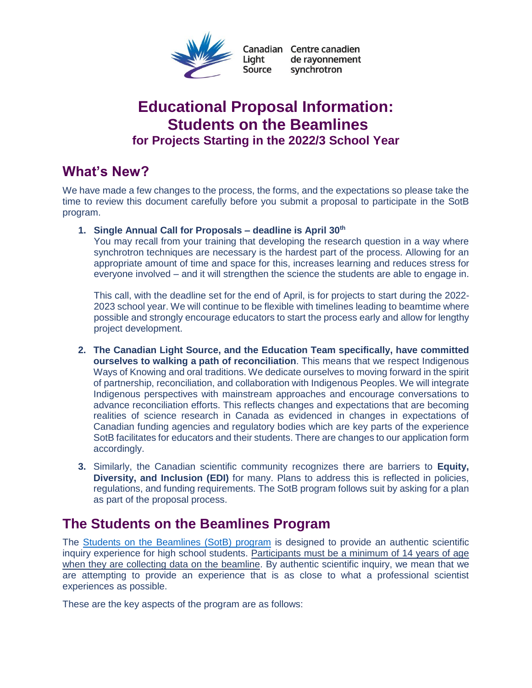

Canadian Centre canadien Liaht de rayonnement Source synchrotron

# **Educational Proposal Information: Students on the Beamlines for Projects Starting in the 2022/3 School Year**

# **What's New?**

We have made a few changes to the process, the forms, and the expectations so please take the time to review this document carefully before you submit a proposal to participate in the SotB program.

**1. Single Annual Call for Proposals – deadline is April 30th**

You may recall from your training that developing the research question in a way where synchrotron techniques are necessary is the hardest part of the process. Allowing for an appropriate amount of time and space for this, increases learning and reduces stress for everyone involved – and it will strengthen the science the students are able to engage in.

This call, with the deadline set for the end of April, is for projects to start during the 2022- 2023 school year. We will continue to be flexible with timelines leading to beamtime where possible and strongly encourage educators to start the process early and allow for lengthy project development.

- **2. The Canadian Light Source, and the Education Team specifically, have committed ourselves to walking a path of reconciliation**. This means that we respect Indigenous Ways of Knowing and oral traditions. We dedicate ourselves to moving forward in the spirit of partnership, reconciliation, and collaboration with Indigenous Peoples. We will integrate Indigenous perspectives with mainstream approaches and encourage conversations to advance reconciliation efforts. This reflects changes and expectations that are becoming realities of science research in Canada as evidenced in changes in expectations of Canadian funding agencies and regulatory bodies which are key parts of the experience SotB facilitates for educators and their students. There are changes to our application form accordingly.
- **3.** Similarly, the Canadian scientific community recognizes there are barriers to **Equity, Diversity, and Inclusion (EDI)** for many. Plans to address this is reflected in policies, regulations, and funding requirements. The SotB program follows suit by asking for a plan as part of the proposal process.

# **The Students on the Beamlines Program**

The [Students on the Beamlines \(SotB\) program](https://www.lightsource.ca/public/education/programs/students-on-the-beamline.php) is designed to provide an authentic scientific inquiry experience for high school students. Participants must be a minimum of 14 years of age when they are collecting data on the beamline. By authentic scientific inquiry, we mean that we are attempting to provide an experience that is as close to what a professional scientist experiences as possible.

These are the key aspects of the program are as follows: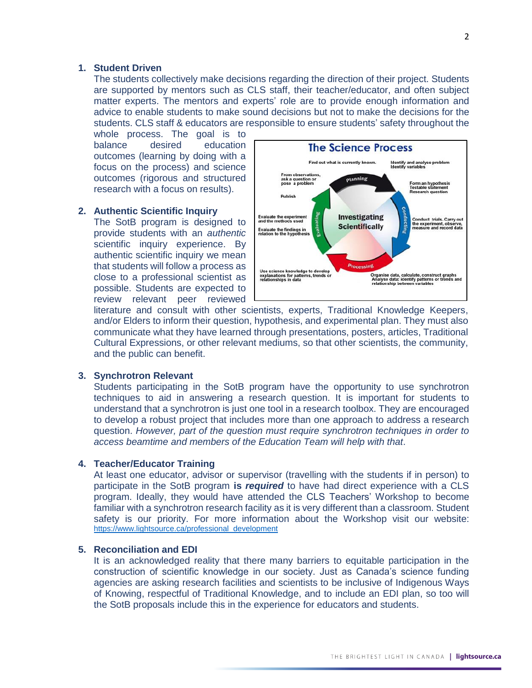#### **1. Student Driven**

The students collectively make decisions regarding the direction of their project. Students are supported by mentors such as CLS staff, their teacher/educator, and often subject matter experts. The mentors and experts' role are to provide enough information and advice to enable students to make sound decisions but not to make the decisions for the students. CLS staff & educators are responsible to ensure students' safety throughout the

whole process. The goal is to balance desired education outcomes (learning by doing with a focus on the process) and science outcomes (rigorous and structured research with a focus on results).

#### **2. Authentic Scientific Inquiry**

The SotB program is designed to provide students with an *authentic* scientific inquiry experience. By authentic scientific inquiry we mean that students will follow a process as close to a professional scientist as possible. Students are expected to review relevant peer reviewed



literature and consult with other scientists, experts, Traditional Knowledge Keepers, and/or Elders to inform their question, hypothesis, and experimental plan. They must also communicate what they have learned through presentations, posters, articles, Traditional Cultural Expressions, or other relevant mediums, so that other scientists, the community, and the public can benefit.

#### **3. Synchrotron Relevant**

Students participating in the SotB program have the opportunity to use synchrotron techniques to aid in answering a research question. It is important for students to understand that a synchrotron is just one tool in a research toolbox. They are encouraged to develop a robust project that includes more than one approach to address a research question. *However, part of the question must require synchrotron techniques in order to access beamtime and members of the Education Team will help with that*.

### **4. Teacher/Educator Training**

At least one educator, advisor or supervisor (travelling with the students if in person) to participate in the SotB program **is** *required* to have had direct experience with a CLS program. Ideally, they would have attended the CLS Teachers' Workshop to become familiar with a synchrotron research facility as it is very different than a classroom. Student safety is our priority. For more information about the Workshop visit our website: [https://www.lightsource.ca/professional\\_development](https://www.lightsource.ca/professional_development)

#### **5. Reconciliation and EDI**

It is an acknowledged reality that there many barriers to equitable participation in the construction of scientific knowledge in our society. Just as Canada's science funding agencies are asking research facilities and scientists to be inclusive of Indigenous Ways of Knowing, respectful of Traditional Knowledge, and to include an EDI plan, so too will the SotB proposals include this in the experience for educators and students.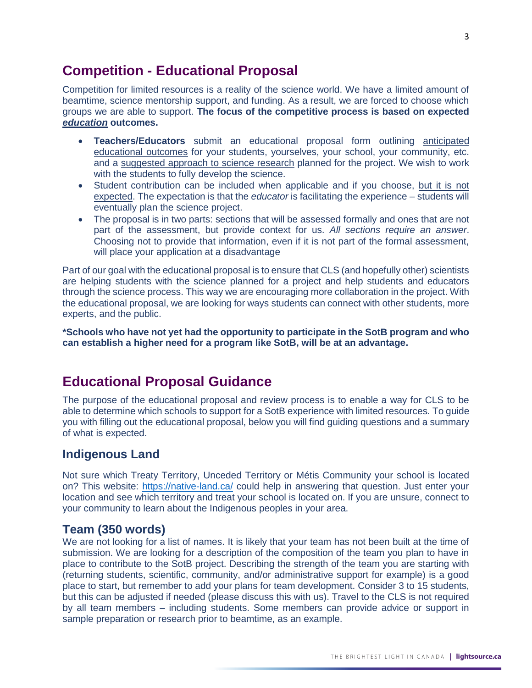# **Competition - Educational Proposal**

Competition for limited resources is a reality of the science world. We have a limited amount of beamtime, science mentorship support, and funding. As a result, we are forced to choose which groups we are able to support. **The focus of the competitive process is based on expected**  *education* **outcomes.**

- **Teachers/Educators** submit an educational proposal form outlining anticipated educational outcomes for your students, yourselves, your school, your community, etc. and a suggested approach to science research planned for the project. We wish to work with the students to fully develop the science.
- Student contribution can be included when applicable and if you choose, but it is not expected. The expectation is that the *educator* is facilitating the experience – students will eventually plan the science project.
- The proposal is in two parts: sections that will be assessed formally and ones that are not part of the assessment, but provide context for us. *All sections require an answer*. Choosing not to provide that information, even if it is not part of the formal assessment, will place your application at a disadvantage

Part of our goal with the educational proposal is to ensure that CLS (and hopefully other) scientists are helping students with the science planned for a project and help students and educators through the science process. This way we are encouraging more collaboration in the project. With the educational proposal, we are looking for ways students can connect with other students, more experts, and the public.

**\*Schools who have not yet had the opportunity to participate in the SotB program and who can establish a higher need for a program like SotB, will be at an advantage.** 

# **Educational Proposal Guidance**

The purpose of the educational proposal and review process is to enable a way for CLS to be able to determine which schools to support for a SotB experience with limited resources. To guide you with filling out the educational proposal, below you will find guiding questions and a summary of what is expected.

## **Indigenous Land**

Not sure which Treaty Territory, Unceded Territory or Métis Community your school is located on? This website:<https://native-land.ca/> could help in answering that question. Just enter your location and see which territory and treat your school is located on. If you are unsure, connect to your community to learn about the Indigenous peoples in your area.

## **Team (350 words)**

We are not looking for a list of names. It is likely that your team has not been built at the time of submission. We are looking for a description of the composition of the team you plan to have in place to contribute to the SotB project. Describing the strength of the team you are starting with (returning students, scientific, community, and/or administrative support for example) is a good place to start, but remember to add your plans for team development. Consider 3 to 15 students, but this can be adjusted if needed (please discuss this with us). Travel to the CLS is not required by all team members – including students. Some members can provide advice or support in sample preparation or research prior to beamtime, as an example.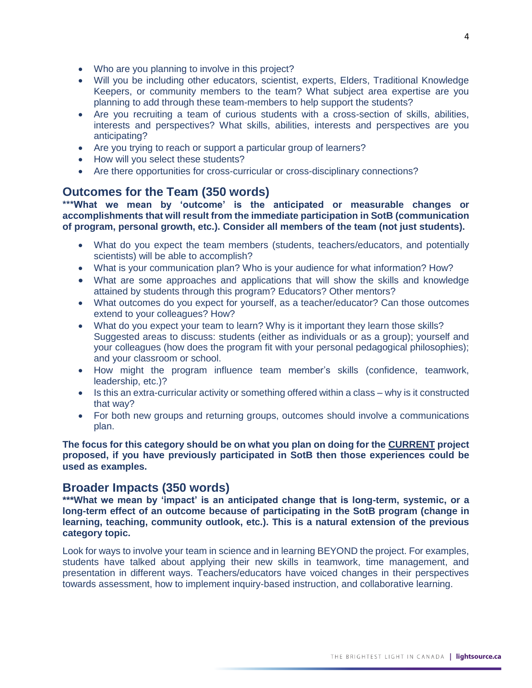- Who are you planning to involve in this project?
- Will you be including other educators, scientist, experts, Elders, Traditional Knowledge Keepers, or community members to the team? What subject area expertise are you planning to add through these team-members to help support the students?
- Are you recruiting a team of curious students with a cross-section of skills, abilities, interests and perspectives? What skills, abilities, interests and perspectives are you anticipating?
- Are you trying to reach or support a particular group of learners?
- How will you select these students?
- Are there opportunities for cross-curricular or cross-disciplinary connections?

### **Outcomes for the Team (350 words)**

**\*\*\*What we mean by 'outcome' is the anticipated or measurable changes or accomplishments that will result from the immediate participation in SotB (communication of program, personal growth, etc.). Consider all members of the team (not just students).** 

- What do you expect the team members (students, teachers/educators, and potentially scientists) will be able to accomplish?
- What is your communication plan? Who is your audience for what information? How?
- What are some approaches and applications that will show the skills and knowledge attained by students through this program? Educators? Other mentors?
- What outcomes do you expect for yourself, as a teacher/educator? Can those outcomes extend to your colleagues? How?
- What do you expect your team to learn? Why is it important they learn those skills? Suggested areas to discuss: students (either as individuals or as a group); yourself and your colleagues (how does the program fit with your personal pedagogical philosophies); and your classroom or school.
- How might the program influence team member's skills (confidence, teamwork, leadership, etc.)?
- Is this an extra-curricular activity or something offered within a class why is it constructed that way?
- For both new groups and returning groups, outcomes should involve a communications plan.

**The focus for this category should be on what you plan on doing for the CURRENT project proposed, if you have previously participated in SotB then those experiences could be used as examples.** 

### **Broader Impacts (350 words)**

**\*\*\*What we mean by 'impact' is an anticipated change that is long-term, systemic, or a long-term effect of an outcome because of participating in the SotB program (change in learning, teaching, community outlook, etc.). This is a natural extension of the previous category topic.**

Look for ways to involve your team in science and in learning BEYOND the project. For examples, students have talked about applying their new skills in teamwork, time management, and presentation in different ways. Teachers/educators have voiced changes in their perspectives towards assessment, how to implement inquiry-based instruction, and collaborative learning.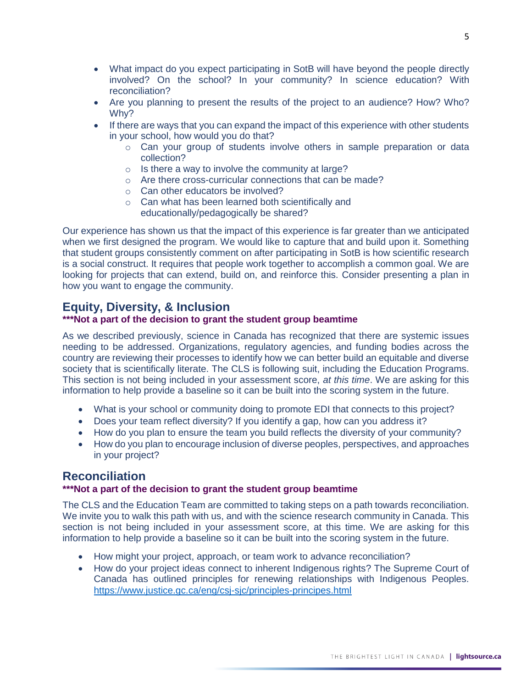- What impact do you expect participating in SotB will have beyond the people directly involved? On the school? In your community? In science education? With reconciliation?
- Are you planning to present the results of the project to an audience? How? Who? Why?
- If there are ways that you can expand the impact of this experience with other students in your school, how would you do that?
	- $\circ$  Can your group of students involve others in sample preparation or data collection?
	- $\circ$  Is there a way to involve the community at large?
	- o Are there cross-curricular connections that can be made?
	- o Can other educators be involved?
	- o Can what has been learned both scientifically and educationally/pedagogically be shared?

Our experience has shown us that the impact of this experience is far greater than we anticipated when we first designed the program. We would like to capture that and build upon it. Something that student groups consistently comment on after participating in SotB is how scientific research is a social construct. It requires that people work together to accomplish a common goal. We are looking for projects that can extend, build on, and reinforce this. Consider presenting a plan in how you want to engage the community.

## **Equity, Diversity, & Inclusion**

#### **\*\*\*Not a part of the decision to grant the student group beamtime**

As we described previously, science in Canada has recognized that there are systemic issues needing to be addressed. Organizations, regulatory agencies, and funding bodies across the country are reviewing their processes to identify how we can better build an equitable and diverse society that is scientifically literate. The CLS is following suit, including the Education Programs. This section is not being included in your assessment score, *at this time*. We are asking for this information to help provide a baseline so it can be built into the scoring system in the future.

- What is your school or community doing to promote EDI that connects to this project?
- Does your team reflect diversity? If you identify a gap, how can you address it?
- How do you plan to ensure the team you build reflects the diversity of your community?
- How do you plan to encourage inclusion of diverse peoples, perspectives, and approaches in your project?

### **Reconciliation**

#### **\*\*\*Not a part of the decision to grant the student group beamtime**

The CLS and the Education Team are committed to taking steps on a path towards reconciliation. We invite you to walk this path with us, and with the science research community in Canada. This section is not being included in your assessment score, at this time. We are asking for this information to help provide a baseline so it can be built into the scoring system in the future.

- How might your project, approach, or team work to advance reconciliation?
- How do your project ideas connect to inherent Indigenous rights? The Supreme Court of Canada has outlined principles for renewing relationships with Indigenous Peoples. <https://www.justice.gc.ca/eng/csj-sjc/principles-principes.html>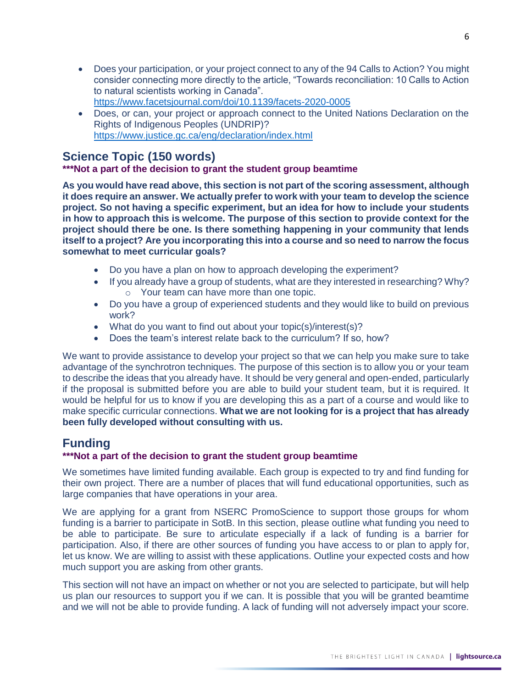- Does your participation, or your project connect to any of the 94 Calls to Action? You might consider connecting more directly to the article, "Towards reconciliation: 10 Calls to Action to natural scientists working in Canada". <https://www.facetsjournal.com/doi/10.1139/facets-2020-0005>
- Does, or can, your project or approach connect to the United Nations Declaration on the Rights of Indigenous Peoples (UNDRIP)? <https://www.justice.gc.ca/eng/declaration/index.html>

# **Science Topic (150 words)**

### **\*\*\*Not a part of the decision to grant the student group beamtime**

**As you would have read above, this section is not part of the scoring assessment, although it does require an answer. We actually prefer to work with your team to develop the science project. So not having a specific experiment, but an idea for how to include your students in how to approach this is welcome. The purpose of this section to provide context for the project should there be one. Is there something happening in your community that lends itself to a project? Are you incorporating this into a course and so need to narrow the focus somewhat to meet curricular goals?**

- Do you have a plan on how to approach developing the experiment?
- If you already have a group of students, what are they interested in researching? Why? o Your team can have more than one topic.
- Do you have a group of experienced students and they would like to build on previous work?
- What do you want to find out about your topic(s)/interest(s)?
- Does the team's interest relate back to the curriculum? If so, how?

We want to provide assistance to develop your project so that we can help you make sure to take advantage of the synchrotron techniques. The purpose of this section is to allow you or your team to describe the ideas that you already have. It should be very general and open-ended, particularly if the proposal is submitted before you are able to build your student team, but it is required. It would be helpful for us to know if you are developing this as a part of a course and would like to make specific curricular connections. **What we are not looking for is a project that has already been fully developed without consulting with us.** 

## **Funding**

### **\*\*\*Not a part of the decision to grant the student group beamtime**

We sometimes have limited funding available. Each group is expected to try and find funding for their own project. There are a number of places that will fund educational opportunities, such as large companies that have operations in your area.

We are applying for a grant from NSERC PromoScience to support those groups for whom funding is a barrier to participate in SotB. In this section, please outline what funding you need to be able to participate. Be sure to articulate especially if a lack of funding is a barrier for participation. Also, if there are other sources of funding you have access to or plan to apply for, let us know. We are willing to assist with these applications. Outline your expected costs and how much support you are asking from other grants.

This section will not have an impact on whether or not you are selected to participate, but will help us plan our resources to support you if we can. It is possible that you will be granted beamtime and we will not be able to provide funding. A lack of funding will not adversely impact your score.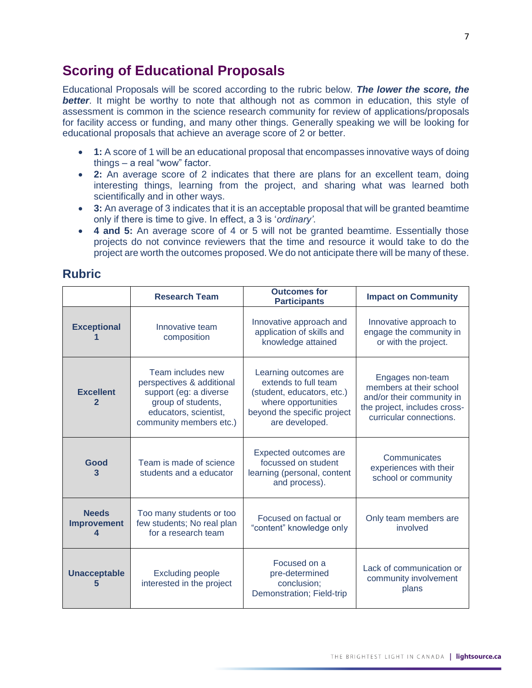# **Scoring of Educational Proposals**

Educational Proposals will be scored according to the rubric below. *The lower the score, the*  **better**. It might be worthy to note that although not as common in education, this style of assessment is common in the science research community for review of applications/proposals for facility access or funding, and many other things. Generally speaking we will be looking for educational proposals that achieve an average score of 2 or better.

- **1:** A score of 1 will be an educational proposal that encompasses innovative ways of doing things – a real "wow" factor.
- **2:** An average score of 2 indicates that there are plans for an excellent team, doing interesting things, learning from the project, and sharing what was learned both scientifically and in other ways.
- **3:** An average of 3 indicates that it is an acceptable proposal that will be granted beamtime only if there is time to give. In effect, a 3 is '*ordinary'*.
- **4 and 5:** An average score of 4 or 5 will not be granted beamtime. Essentially those projects do not convince reviewers that the time and resource it would take to do the project are worth the outcomes proposed. We do not anticipate there will be many of these.

### **Rubric**

|                                         | <b>Research Team</b>                                                                                                                               | <b>Outcomes for</b><br><b>Participants</b>                                                                                                          | <b>Impact on Community</b>                                                                                                          |
|-----------------------------------------|----------------------------------------------------------------------------------------------------------------------------------------------------|-----------------------------------------------------------------------------------------------------------------------------------------------------|-------------------------------------------------------------------------------------------------------------------------------------|
| <b>Exceptional</b>                      | Innovative team<br>composition                                                                                                                     | Innovative approach and<br>application of skills and<br>knowledge attained                                                                          | Innovative approach to<br>engage the community in<br>or with the project.                                                           |
| <b>Excellent</b><br>2                   | Team includes new<br>perspectives & additional<br>support (eg: a diverse<br>group of students,<br>educators, scientist,<br>community members etc.) | Learning outcomes are<br>extends to full team<br>(student, educators, etc.)<br>where opportunities<br>beyond the specific project<br>are developed. | Engages non-team<br>members at their school<br>and/or their community in<br>the project, includes cross-<br>curricular connections. |
| Good<br>3                               | Team is made of science<br>students and a educator                                                                                                 | Expected outcomes are<br>focussed on student<br>learning (personal, content<br>and process).                                                        | Communicates<br>experiences with their<br>school or community                                                                       |
| <b>Needs</b><br><b>Improvement</b><br>4 | Too many students or too<br>few students; No real plan<br>for a research team                                                                      | Focused on factual or<br>"content" knowledge only                                                                                                   | Only team members are<br>involved                                                                                                   |
| <b>Unacceptable</b><br>5                | <b>Excluding people</b><br>interested in the project                                                                                               | Focused on a<br>pre-determined<br>conclusion;<br>Demonstration; Field-trip                                                                          | Lack of communication or<br>community involvement<br>plans                                                                          |